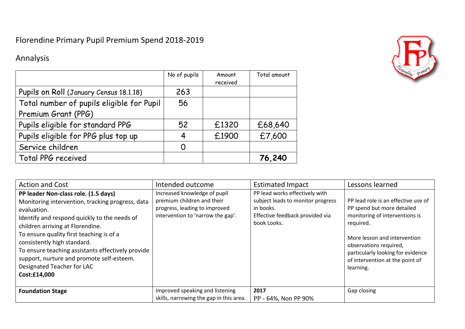## Florendine Primary Pupil Premium Spend 2018-2019

## Annalysis



|                                           | No of pupils | Amount   | Total amount |
|-------------------------------------------|--------------|----------|--------------|
|                                           |              | received |              |
| Pupils on Roll (January Census 18.1.18)   | 263          |          |              |
| Total number of pupils eligible for Pupil | 56           |          |              |
| Premium Grant (PPG)                       |              |          |              |
| Pupils eligible for standard PPG          | 52           | £1320    | £68,640      |
| Pupils eligible for PPG plus top up       | 4            | £1900    | £7,600       |
| Service children                          | O            |          |              |
| Total PPG received                        |              |          | 76,240       |

| <b>Action and Cost</b>                                                                                                                                                                                                                                                                                                                                                                                                 | Intended outcome                                                                                                                 | <b>Estimated Impact</b>                                                                                                            | Lessons learned                                                                                                                                                                                                                                                 |
|------------------------------------------------------------------------------------------------------------------------------------------------------------------------------------------------------------------------------------------------------------------------------------------------------------------------------------------------------------------------------------------------------------------------|----------------------------------------------------------------------------------------------------------------------------------|------------------------------------------------------------------------------------------------------------------------------------|-----------------------------------------------------------------------------------------------------------------------------------------------------------------------------------------------------------------------------------------------------------------|
| PP leader Non-class role. (1.5 days)<br>Monitoring intervention, tracking progress, data<br>evaluation.<br>Identify and respond quickly to the needs of<br>children arriving at Florendine.<br>To ensure quality first teaching is of a<br>consistently high standard.<br>To ensure teaching assistants effectively provide<br>support, nurture and promote self-esteem.<br>Designated Teacher for LAC<br>Cost:£14,000 | Increased knowledge of pupil<br>premium children and their<br>progress, leading to improved<br>intervention to 'narrow the gap'. | PP lead works effectively with<br>subject leads to monitor progress<br>in books.<br>Effective feedback provided via<br>book Looks. | PP lead role is an effective use of<br>PP spend but more detailed<br>monitoring of interventions is<br>required.<br>More lesson and intervention<br>observations required,<br>particularly looking for evidence<br>of intervention at the point of<br>learning. |
| <b>Foundation Stage</b>                                                                                                                                                                                                                                                                                                                                                                                                | Improved speaking and listening<br>skills, narrowing the gap in this area.                                                       | 2017<br>PP - 64%, Non PP 90%                                                                                                       | Gap closing                                                                                                                                                                                                                                                     |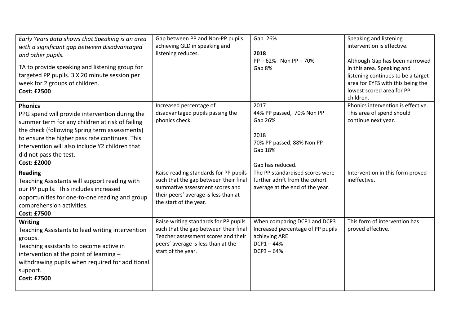| Early Years data shows that Speaking is an area<br>with a significant gap between disadvantaged<br>and other pupils.<br>TA to provide speaking and listening group for<br>targeted PP pupils. 3 X 20 minute session per<br>week for 2 groups of children.<br><b>Cost: £2500</b>                                           | Gap between PP and Non-PP pupils<br>achieving GLD in speaking and<br>listening reduces.                                                                                             | Gap 26%<br>2018<br>$PP - 62\%$ Non $PP - 70\%$<br>Gap 8%                                                           | Speaking and listening<br>intervention is effective.<br>Although Gap has been narrowed<br>in this area. Speaking and<br>listening continues to be a target<br>area for EYFS with this being the<br>lowest scored area for PP<br>children. |
|---------------------------------------------------------------------------------------------------------------------------------------------------------------------------------------------------------------------------------------------------------------------------------------------------------------------------|-------------------------------------------------------------------------------------------------------------------------------------------------------------------------------------|--------------------------------------------------------------------------------------------------------------------|-------------------------------------------------------------------------------------------------------------------------------------------------------------------------------------------------------------------------------------------|
| <b>Phonics</b><br>PPG spend will provide intervention during the<br>summer term for any children at risk of failing<br>the check (following Spring term assessments)<br>to ensure the higher pass rate continues. This<br>intervention will also include Y2 children that<br>did not pass the test.<br><b>Cost: £2000</b> | Increased percentage of<br>disadvantaged pupils passing the<br>phonics check.                                                                                                       | 2017<br>44% PP passed, 70% Non PP<br>Gap 26%<br>2018<br>70% PP passed, 88% Non PP<br>Gap 18%<br>Gap has reduced.   | Phonics intervention is effective.<br>This area of spend should<br>continue next year.                                                                                                                                                    |
| <b>Reading</b><br>Teaching Assistants will support reading with<br>our PP pupils. This includes increased<br>opportunities for one-to-one reading and group<br>comprehension activities.<br><b>Cost: £7500</b>                                                                                                            | Raise reading standards for PP pupils<br>such that the gap between their final<br>summative assessment scores and<br>their peers' average is less than at<br>the start of the year. | The PP standardised scores were<br>further adrift from the cohort<br>average at the end of the year.               | Intervention in this form proved<br>ineffective.                                                                                                                                                                                          |
| <b>Writing</b><br>Teaching Assistants to lead writing intervention<br>groups.<br>Teaching assistants to become active in<br>intervention at the point of learning -<br>withdrawing pupils when required for additional<br>support.<br><b>Cost: £7500</b>                                                                  | Raise writing standards for PP pupils<br>such that the gap between their final<br>Teacher assessment scores and their<br>peers' average is less than at the<br>start of the year.   | When comparing DCP1 and DCP3<br>Increased percentage of PP pupils<br>achieving ARE<br>$DCP1 - 44%$<br>$DCP3 - 64%$ | This form of intervention has<br>proved effective.                                                                                                                                                                                        |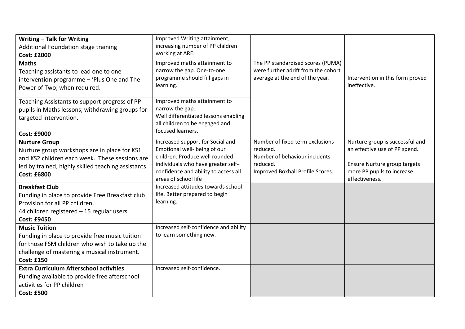| <b>Writing - Talk for Writing</b><br>Additional Foundation stage training<br><b>Cost: £2000</b>                                           | Improved Writing attainment,<br>increasing number of PP children<br>working at ARE.                                                            |                                                                                                             |                                                  |
|-------------------------------------------------------------------------------------------------------------------------------------------|------------------------------------------------------------------------------------------------------------------------------------------------|-------------------------------------------------------------------------------------------------------------|--------------------------------------------------|
| <b>Maths</b><br>Teaching assistants to lead one to one<br>intervention programme - 'Plus One and The<br>Power of Two; when required.      | Improved maths attainment to<br>narrow the gap. One-to-one<br>programme should fill gaps in<br>learning.                                       | The PP standardised scores (PUMA)<br>were further adrift from the cohort<br>average at the end of the year. | Intervention in this form proved<br>ineffective. |
| Teaching Assistants to support progress of PP<br>pupils in Maths lessons, withdrawing groups for<br>targeted intervention.<br>Cost: £9000 | Improved maths attainment to<br>narrow the gap.<br>Well differentiated lessons enabling<br>all children to be engaged and<br>focused learners. |                                                                                                             |                                                  |
| <b>Nurture Group</b>                                                                                                                      | Increased support for Social and                                                                                                               | Number of fixed term exclusions                                                                             | Nurture group is successful and                  |
| Nurture group workshops are in place for KS1                                                                                              | Emotional well- being of our<br>children. Produce well rounded                                                                                 | reduced.<br>Number of behaviour incidents                                                                   | an effective use of PP spend.                    |
| and KS2 children each week. These sessions are<br>led by trained, highly skilled teaching assistants.                                     | individuals who have greater self-                                                                                                             | reduced.                                                                                                    | Ensure Nurture group targets                     |
| <b>Cost: £6800</b>                                                                                                                        | confidence and ability to access all<br>areas of school life                                                                                   | Improved Boxhall Profile Scores.                                                                            | more PP pupils to increase<br>effectiveness.     |
| <b>Breakfast Club</b>                                                                                                                     | Increased attitudes towards school                                                                                                             |                                                                                                             |                                                  |
| Funding in place to provide Free Breakfast club                                                                                           | life. Better prepared to begin<br>learning.                                                                                                    |                                                                                                             |                                                  |
| Provision for all PP children.<br>44 children registered - 15 regular users                                                               |                                                                                                                                                |                                                                                                             |                                                  |
| <b>Cost: £9450</b>                                                                                                                        |                                                                                                                                                |                                                                                                             |                                                  |
| <b>Music Tuition</b>                                                                                                                      | Increased self-confidence and ability                                                                                                          |                                                                                                             |                                                  |
| Funding in place to provide free music tuition                                                                                            | to learn something new.                                                                                                                        |                                                                                                             |                                                  |
| for those FSM children who wish to take up the                                                                                            |                                                                                                                                                |                                                                                                             |                                                  |
| challenge of mastering a musical instrument.<br><b>Cost: £150</b>                                                                         |                                                                                                                                                |                                                                                                             |                                                  |
| <b>Extra Curriculum Afterschool activities</b>                                                                                            | Increased self-confidence.                                                                                                                     |                                                                                                             |                                                  |
| Funding available to provide free afterschool                                                                                             |                                                                                                                                                |                                                                                                             |                                                  |
| activities for PP children                                                                                                                |                                                                                                                                                |                                                                                                             |                                                  |
| <b>Cost: £500</b>                                                                                                                         |                                                                                                                                                |                                                                                                             |                                                  |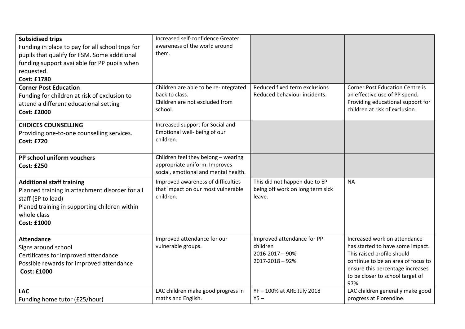| <b>Subsidised trips</b><br>Funding in place to pay for all school trips for<br>pupils that qualify for FSM. Some additional<br>funding support available for PP pupils when<br>requested.<br><b>Cost: £1780</b> | Increased self-confidence Greater<br>awareness of the world around<br>them.                                  |                                                                              |                                                                                                                                                                                                                      |
|-----------------------------------------------------------------------------------------------------------------------------------------------------------------------------------------------------------------|--------------------------------------------------------------------------------------------------------------|------------------------------------------------------------------------------|----------------------------------------------------------------------------------------------------------------------------------------------------------------------------------------------------------------------|
| <b>Corner Post Education</b><br>Funding for children at risk of exclusion to<br>attend a different educational setting<br><b>Cost: £2000</b>                                                                    | Children are able to be re-integrated<br>back to class.<br>Children are not excluded from<br>school.         | Reduced fixed term exclusions<br>Reduced behaviour incidents.                | <b>Corner Post Education Centre is</b><br>an effective use of PP spend.<br>Providing educational support for<br>children at risk of exclusion.                                                                       |
| <b>CHOICES COUNSELLING</b><br>Providing one-to-one counselling services.<br><b>Cost: £720</b>                                                                                                                   | Increased support for Social and<br>Emotional well- being of our<br>children.                                |                                                                              |                                                                                                                                                                                                                      |
| PP school uniform vouchers<br><b>Cost: £250</b>                                                                                                                                                                 | Children feel they belong - wearing<br>appropriate uniform. Improves<br>social, emotional and mental health. |                                                                              |                                                                                                                                                                                                                      |
| <b>Additional staff training</b><br>Planned training in attachment disorder for all<br>staff (EP to lead)<br>Planed training in supporting children within<br>whole class<br><b>Cost: £1000</b>                 | Improved awareness of difficulties<br>that impact on our most vulnerable<br>children.                        | This did not happen due to EP<br>being off work on long term sick<br>leave.  | <b>NA</b>                                                                                                                                                                                                            |
| <b>Attendance</b><br>Signs around school<br>Certificates for improved attendance<br>Possible rewards for improved attendance<br><b>Cost: £1000</b>                                                              | Improved attendance for our<br>vulnerable groups.                                                            | Improved attendance for PP<br>children<br>2016-2017 - 90%<br>2017-2018 - 92% | Increased work on attendance<br>has started to have some impact.<br>This raised profile should<br>continue to be an area of focus to<br>ensure this percentage increases<br>to be closer to school target of<br>97%. |
| <b>LAC</b><br>Funding home tutor (£25/hour)                                                                                                                                                                     | LAC children make good progress in<br>maths and English.                                                     | YF - 100% at ARE July 2018<br>$Y5 -$                                         | LAC children generally make good<br>progress at Florendine.                                                                                                                                                          |